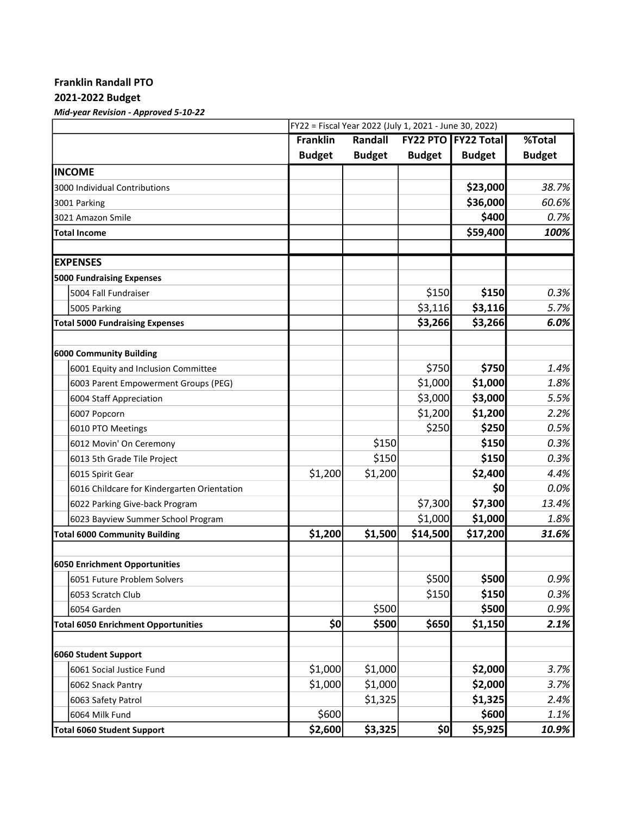## Franklin Randall PTO

## 2021-2022 Budget

Mid-year Revision - Approved 5-10-22

|                                             | FY22 = Fiscal Year 2022 (July 1, 2021 - June 30, 2022) |               |               |                     |               |  |  |
|---------------------------------------------|--------------------------------------------------------|---------------|---------------|---------------------|---------------|--|--|
|                                             | <b>Franklin</b>                                        | Randall       |               | FY22 PTO FY22 Total | %Total        |  |  |
|                                             | <b>Budget</b>                                          | <b>Budget</b> | <b>Budget</b> | <b>Budget</b>       | <b>Budget</b> |  |  |
| <b>INCOME</b>                               |                                                        |               |               |                     |               |  |  |
| 3000 Individual Contributions               |                                                        |               |               | \$23,000            | 38.7%         |  |  |
| 3001 Parking                                |                                                        |               |               | \$36,000            | 60.6%         |  |  |
| 3021 Amazon Smile                           |                                                        |               |               | \$400               | 0.7%          |  |  |
| <b>Total Income</b>                         |                                                        |               |               | \$59,400            | 100%          |  |  |
| <b>EXPENSES</b>                             |                                                        |               |               |                     |               |  |  |
| <b>5000 Fundraising Expenses</b>            |                                                        |               |               |                     |               |  |  |
| 5004 Fall Fundraiser                        |                                                        |               | \$150         | \$150               | 0.3%          |  |  |
| 5005 Parking                                |                                                        |               | \$3,116       | \$3,116             | 5.7%          |  |  |
|                                             |                                                        |               | \$3,266       | \$3,266             | 6.0%          |  |  |
| <b>Total 5000 Fundraising Expenses</b>      |                                                        |               |               |                     |               |  |  |
| 6000 Community Building                     |                                                        |               |               |                     |               |  |  |
| 6001 Equity and Inclusion Committee         |                                                        |               | \$750         | \$750               | 1.4%          |  |  |
| 6003 Parent Empowerment Groups (PEG)        |                                                        |               | \$1,000       | \$1,000             | 1.8%          |  |  |
| 6004 Staff Appreciation                     |                                                        |               | \$3,000       | \$3,000             | 5.5%          |  |  |
| 6007 Popcorn                                |                                                        |               | \$1,200       | \$1,200             | 2.2%          |  |  |
| 6010 PTO Meetings                           |                                                        |               | \$250         | \$250               | 0.5%          |  |  |
| 6012 Movin' On Ceremony                     |                                                        | \$150         |               | \$150               | 0.3%          |  |  |
| 6013 5th Grade Tile Project                 |                                                        | \$150         |               | \$150               | 0.3%          |  |  |
| 6015 Spirit Gear                            | \$1,200                                                | \$1,200       |               | \$2,400             | 4.4%          |  |  |
| 6016 Childcare for Kindergarten Orientation |                                                        |               |               | \$0                 | $0.0\%$       |  |  |
| 6022 Parking Give-back Program              |                                                        |               | \$7,300       | \$7,300             | 13.4%         |  |  |
| 6023 Bayview Summer School Program          |                                                        |               | \$1,000       | \$1,000             | 1.8%          |  |  |
| <b>Total 6000 Community Building</b>        | \$1,200                                                | \$1,500       | \$14,500      | \$17,200            | 31.6%         |  |  |
| 6050 Enrichment Opportunities               |                                                        |               |               |                     |               |  |  |
| 6051 Future Problem Solvers                 |                                                        |               | \$500         | \$500               | 0.9%          |  |  |
| 6053 Scratch Club                           |                                                        |               | \$150         | \$150               | 0.3%          |  |  |
| 6054 Garden                                 |                                                        | \$500         |               | \$500               | 0.9%          |  |  |
| <b>Total 6050 Enrichment Opportunities</b>  | \$0                                                    | \$500         | \$650         | \$1,150             | 2.1%          |  |  |
|                                             |                                                        |               |               |                     |               |  |  |
| 6060 Student Support                        |                                                        |               |               |                     |               |  |  |
| 6061 Social Justice Fund                    | \$1,000                                                | \$1,000       |               | \$2,000             | 3.7%          |  |  |
| 6062 Snack Pantry                           | \$1,000                                                | \$1,000       |               | \$2,000             | 3.7%          |  |  |
| 6063 Safety Patrol                          |                                                        | \$1,325       |               | \$1,325             | 2.4%          |  |  |
| 6064 Milk Fund                              | \$600                                                  |               |               | \$600               | 1.1%          |  |  |
| Total 6060 Student Support                  | \$2,600                                                | \$3,325       | \$0           | \$5,925             | 10.9%         |  |  |